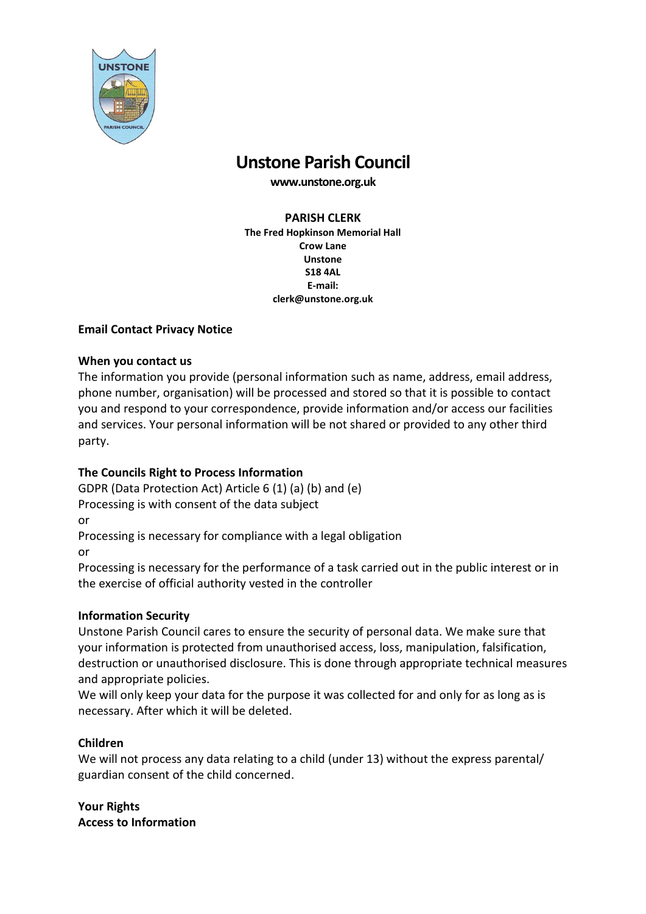

# **Unstone Parish Council**

**www.unstone.org.uk**

#### **PARISH CLERK**

**The Fred Hopkinson Memorial Hall Crow Lane Unstone S18 4AL E-mail: clerk@unstone.org.uk**

## **Email Contact Privacy Notice**

## **When you contact us**

The information you provide (personal information such as name, address, email address, phone number, organisation) will be processed and stored so that it is possible to contact you and respond to your correspondence, provide information and/or access our facilities and services. Your personal information will be not shared or provided to any other third party.

## **The Councils Right to Process Information**

GDPR (Data Protection Act) Article 6 (1) (a) (b) and (e) Processing is with consent of the data subject or

Processing is necessary for compliance with a legal obligation or

Processing is necessary for the performance of a task carried out in the public interest or in the exercise of official authority vested in the controller

## **Information Security**

Unstone Parish Council cares to ensure the security of personal data. We make sure that your information is protected from unauthorised access, loss, manipulation, falsification, destruction or unauthorised disclosure. This is done through appropriate technical measures and appropriate policies.

We will only keep your data for the purpose it was collected for and only for as long as is necessary. After which it will be deleted.

## **Children**

We will not process any data relating to a child (under 13) without the express parental/ guardian consent of the child concerned.

**Your Rights Access to Information**